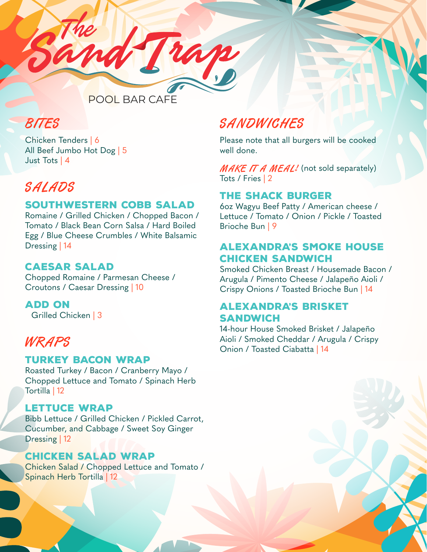

### BITES

Chicken Tenders | 6 All Beef Jumbo Hot Dog | 5 Just Tots | 4

## SALADS

### SOUTHWESTERN COBB SALAD

Romaine / Grilled Chicken / Chopped Bacon / Tomato / Black Bean Corn Salsa / Hard Boiled Egg / Blue Cheese Crumbles / White Balsamic Dressing | 14

### CAESAR SALAD

Chopped Romaine / Parmesan Cheese / Croutons / Caesar Dressing | 10

ADD ON Grilled Chicken | 3

### WRAPS

### TURKEY BACON WRAP

Roasted Turkey / Bacon / Cranberry Mayo / Chopped Lettuce and Tomato / Spinach Herb Tortilla | 12

### LETTUCE WRAP

Bibb Lettuce / Grilled Chicken / Pickled Carrot, Cucumber, and Cabbage / Sweet Soy Ginger Dressing | 12

### CHICKEN SALAD WRAP

Chicken Salad / Chopped Lettuce and Tomato / Spinach Herb Tortilla | 12

## **SANDWICHES**

Please note that all burgers will be cooked well done.

MAKE IT A MEAL! (not sold separately) Tots / Fries | 2

### THE SHACK BURGER

6oz Wagyu Beef Patty / American cheese / Lettuce / Tomato / Onion / Pickle / Toasted Brioche Bun | 9

### ALEXANDRA'S SMOKE HOUSE CHICKEN SANDWICH

Smoked Chicken Breast / Housemade Bacon / Arugula / Pimento Cheese / Jalapeño Aioli / Crispy Onions / Toasted Brioche Bun | 14

### ALEXANDRA'S BRISKET SANDWICH

14-hour House Smoked Brisket / Jalapeño Aioli / Smoked Cheddar / Arugula / Crispy Onion / Toasted Ciabatta | 14